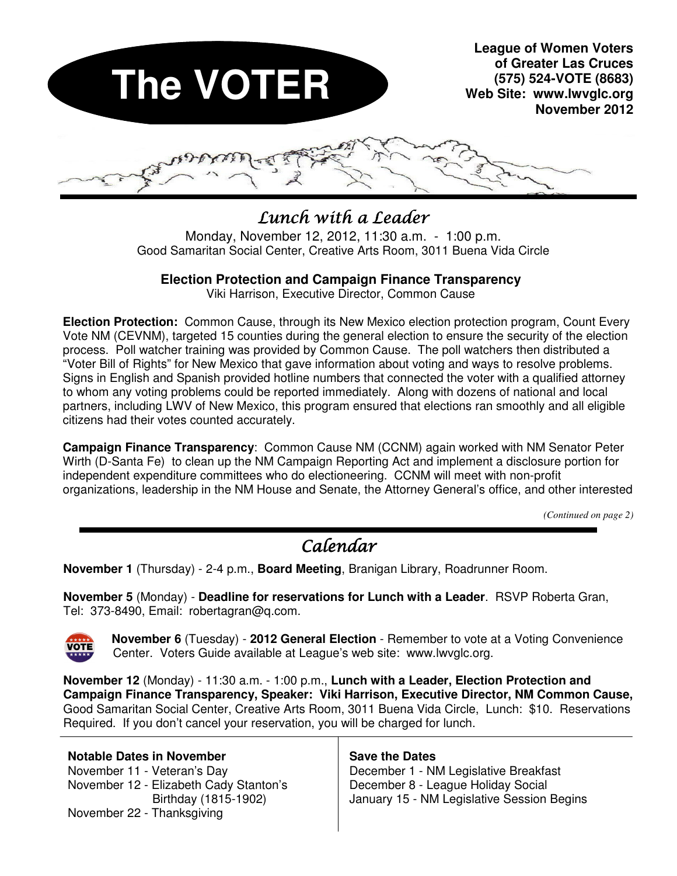

# $L$ unch with a Leader

Monday, November 12, 2012, 11:30 a.m. - 1:00 p.m. Good Samaritan Social Center, Creative Arts Room, 3011 Buena Vida Circle

#### **Election Protection and Campaign Finance Transparency**

Viki Harrison, Executive Director, Common Cause

**Election Protection:** Common Cause, through its New Mexico election protection program, Count Every Vote NM (CEVNM), targeted 15 counties during the general election to ensure the security of the election process. Poll watcher training was provided by Common Cause. The poll watchers then distributed a "Voter Bill of Rights" for New Mexico that gave information about voting and ways to resolve problems. Signs in English and Spanish provided hotline numbers that connected the voter with a qualified attorney to whom any voting problems could be reported immediately. Along with dozens of national and local partners, including LWV of New Mexico, this program ensured that elections ran smoothly and all eligible citizens had their votes counted accurately.

**Campaign Finance Transparency**: Common Cause NM (CCNM) again worked with NM Senator Peter Wirth (D-Santa Fe) to clean up the NM Campaign Reporting Act and implement a disclosure portion for independent expenditure committees who do electioneering. CCNM will meet with non-profit organizations, leadership in the NM House and Senate, the Attorney General's office, and other interested

*(Continued on page 2)* 

# Calendar

**November 1** (Thursday) - 2-4 p.m., **Board Meeting**, Branigan Library, Roadrunner Room.

**November 5** (Monday) - **Deadline for reservations for Lunch with a Leader**. RSVP Roberta Gran, Tel: 373-8490, Email: robertagran@q.com.



 **November 6** (Tuesday) - **2012 General Election** - Remember to vote at a Voting Convenience Center. Voters Guide available at League's web site: www.lwvglc.org.

**November 12** (Monday) - 11:30 a.m. - 1:00 p.m., **Lunch with a Leader, Election Protection and Campaign Finance Transparency, Speaker: Viki Harrison, Executive Director, NM Common Cause,**  Good Samaritan Social Center, Creative Arts Room, 3011 Buena Vida Circle, Lunch: \$10. Reservations Required. If you don't cancel your reservation, you will be charged for lunch.

**Notable Dates in November**  November 11 - Veteran's Day November 12 - Elizabeth Cady Stanton's Birthday (1815-1902) November 22 - Thanksgiving

#### **Save the Dates**

December 1 - NM Legislative Breakfast December 8 - League Holiday Social January 15 - NM Legislative Session Begins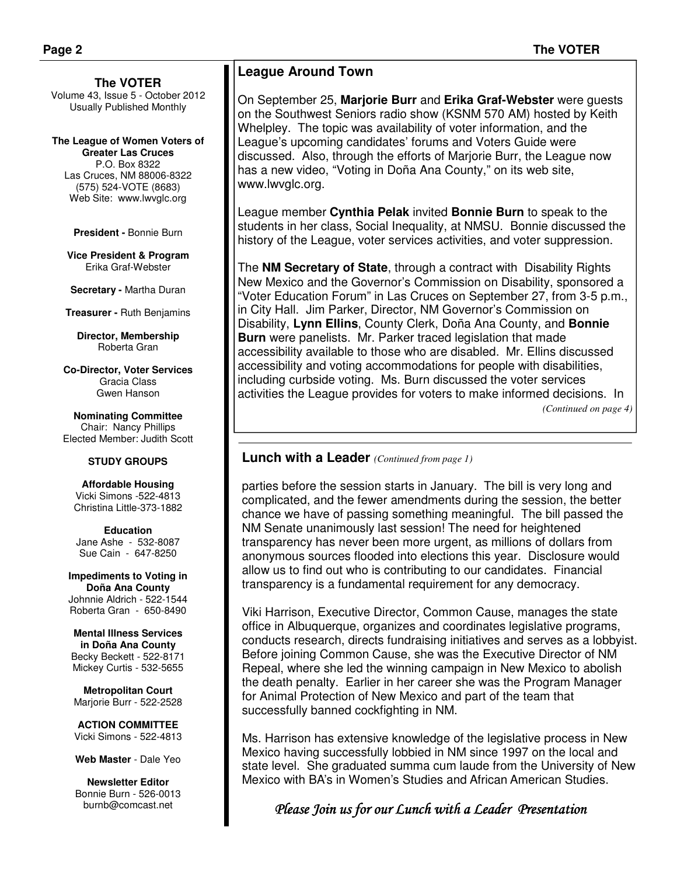#### **The VOTER**

Volume 43, Issue 5 - October 2012 Usually Published Monthly

**The League of Women Voters of Greater Las Cruces**  P.O. Box 8322 Las Cruces, NM 88006-8322 (575) 524-VOTE (8683) Web Site: www.lwvglc.org

**President -** Bonnie Burn

**Vice President & Program**  Erika Graf-Webster

**Secretary -** Martha Duran

**Treasurer -** Ruth Benjamins

**Director, Membership**  Roberta Gran

**Co-Director, Voter Services**  Gracia Class Gwen Hanson

**Nominating Committee**  Chair: Nancy Phillips Elected Member: Judith Scott

#### **STUDY GROUPS**

**Affordable Housing**  Vicki Simons -522-4813 Christina Little-373-1882

**Education**  Jane Ashe - 532-8087 Sue Cain - 647-8250

**Impediments to Voting in Doña Ana County**  Johnnie Aldrich - 522-1544 Roberta Gran - 650-8490

**Mental Illness Services in Doña Ana County**  Becky Beckett - 522-8171 Mickey Curtis - 532-5655

**Metropolitan Court**  Marjorie Burr - 522-2528

**ACTION COMMITTEE**  Vicki Simons - 522-4813

**Web Master** - Dale Yeo

**Newsletter Editor**  Bonnie Burn - 526-0013 burnb@comcast.net

#### **League Around Town**

On September 25, **Marjorie Burr** and **Erika Graf-Webster** were guests on the Southwest Seniors radio show (KSNM 570 AM) hosted by Keith Whelpley. The topic was availability of voter information, and the League's upcoming candidates' forums and Voters Guide were discussed. Also, through the efforts of Marjorie Burr, the League now has a new video, "Voting in Doña Ana County," on its web site, www.lwvglc.org.

League member **Cynthia Pelak** invited **Bonnie Burn** to speak to the students in her class, Social Inequality, at NMSU. Bonnie discussed the history of the League, voter services activities, and voter suppression.

The **NM Secretary of State**, through a contract with Disability Rights New Mexico and the Governor's Commission on Disability, sponsored a "Voter Education Forum" in Las Cruces on September 27, from 3-5 p.m., in City Hall. Jim Parker, Director, NM Governor's Commission on Disability, **Lynn Ellins**, County Clerk, Doña Ana County, and **Bonnie Burn** were panelists. Mr. Parker traced legislation that made accessibility available to those who are disabled. Mr. Ellins discussed accessibility and voting accommodations for people with disabilities, including curbside voting. Ms. Burn discussed the voter services activities the League provides for voters to make informed decisions. In *(Continued on page 4)* 

#### **Lunch with a Leader** *(Continued from page 1)*

parties before the session starts in January. The bill is very long and complicated, and the fewer amendments during the session, the better chance we have of passing something meaningful. The bill passed the NM Senate unanimously last session! The need for heightened transparency has never been more urgent, as millions of dollars from anonymous sources flooded into elections this year. Disclosure would allow us to find out who is contributing to our candidates. Financial transparency is a fundamental requirement for any democracy.

Viki Harrison, Executive Director, Common Cause, manages the state office in Albuquerque, organizes and coordinates legislative programs, conducts research, directs fundraising initiatives and serves as a lobbyist. Before joining Common Cause, she was the Executive Director of NM Repeal, where she led the winning campaign in New Mexico to abolish the death penalty. Earlier in her career she was the Program Manager for Animal Protection of New Mexico and part of the team that successfully banned cockfighting in NM.

Ms. Harrison has extensive knowledge of the legislative process in New Mexico having successfully lobbied in NM since 1997 on the local and state level. She graduated summa cum laude from the University of New Mexico with BA's in Women's Studies and African American Studies.

#### Please Join us for our Lunch with a Leader Presentation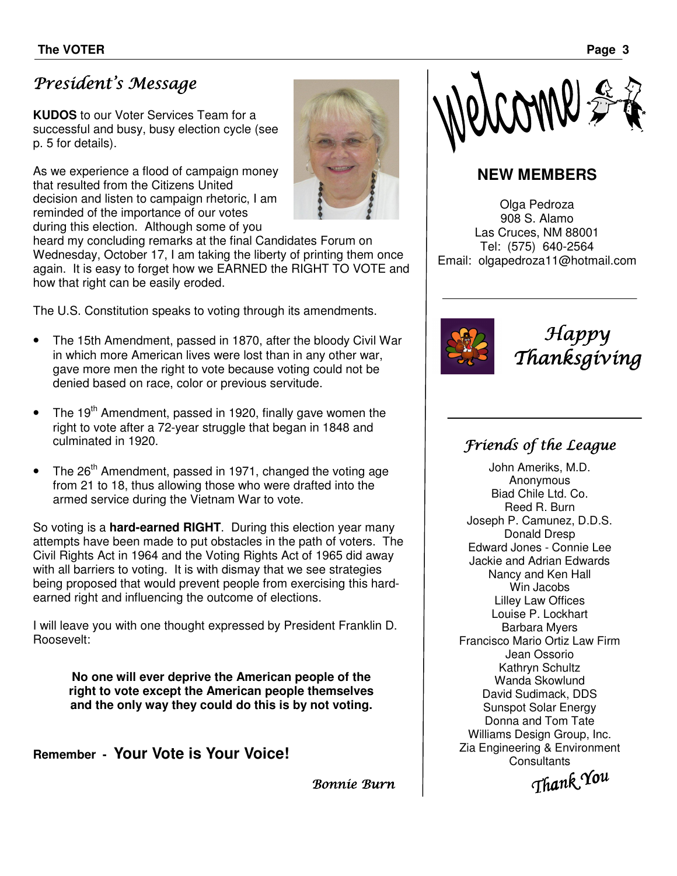# President's Message

**KUDOS** to our Voter Services Team for a successful and busy, busy election cycle (see p. 5 for details).

As we experience a flood of campaign money that resulted from the Citizens United decision and listen to campaign rhetoric, I am reminded of the importance of our votes during this election. Although some of you



Bonnie Burn

heard my concluding remarks at the final Candidates Forum on Wednesday, October 17, I am taking the liberty of printing them once again. It is easy to forget how we EARNED the RIGHT TO VOTE and how that right can be easily eroded.

The U.S. Constitution speaks to voting through its amendments.

- The 15th Amendment, passed in 1870, after the bloody Civil War in which more American lives were lost than in any other war, gave more men the right to vote because voting could not be denied based on race, color or previous servitude.
- The  $19<sup>th</sup>$  Amendment, passed in 1920, finally gave women the right to vote after a 72-year struggle that began in 1848 and culminated in 1920.
- The 26<sup>th</sup> Amendment, passed in 1971, changed the voting age from 21 to 18, thus allowing those who were drafted into the armed service during the Vietnam War to vote.

So voting is a **hard-earned RIGHT**. During this election year many attempts have been made to put obstacles in the path of voters. The Civil Rights Act in 1964 and the Voting Rights Act of 1965 did away with all barriers to voting. It is with dismay that we see strategies being proposed that would prevent people from exercising this hardearned right and influencing the outcome of elections.

I will leave you with one thought expressed by President Franklin D. Roosevelt:

**No one will ever deprive the American people of the right to vote except the American people themselves and the only way they could do this is by not voting.**

**Remember - Your Vote is Your Voice!** 



Happy Thanksgiving

## Friends of the League

**NEW MEMBERS** 

CAMP

Olga Pedroza 908 S. Alamo Las Cruces, NM 88001 Tel: (575) 640-2564 Email: olgapedroza11@hotmail.com

> John Ameriks, M.D. Anonymous Biad Chile Ltd. Co. Reed R. Burn Joseph P. Camunez, D.D.S. Donald Dresp Edward Jones - Connie Lee Jackie and Adrian Edwards Nancy and Ken Hall Win Jacobs Lilley Law Offices Louise P. Lockhart Barbara Myers Francisco Mario Ortiz Law Firm Jean Ossorio Kathryn Schultz Wanda Skowlund David Sudimack, DDS Sunspot Solar Energy Donna and Tom Tate Williams Design Group, Inc. Zia Engineering & Environment **Consultants**

Thank You You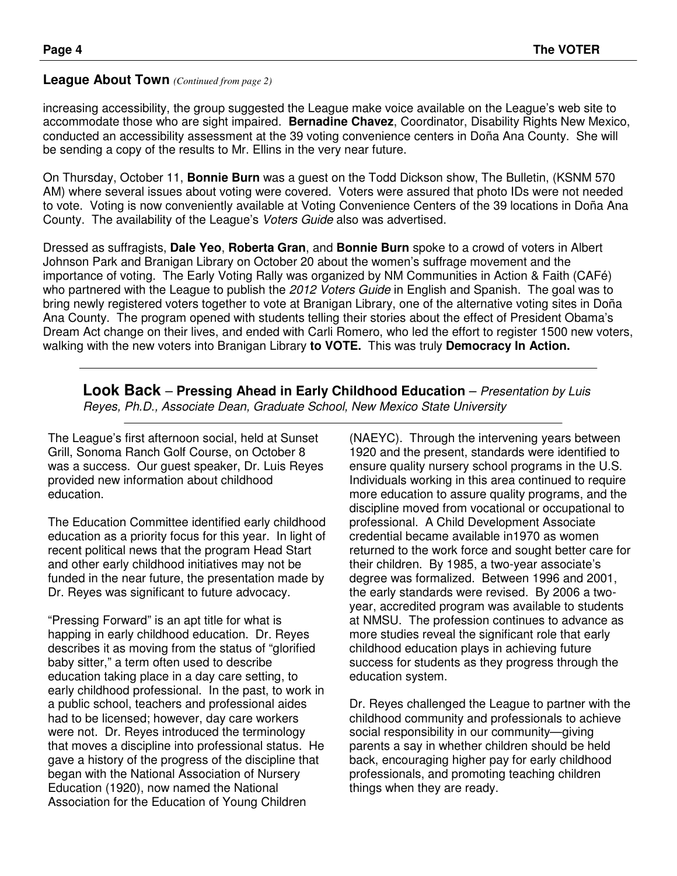#### **League About Town** *(Continued from page 2)*

increasing accessibility, the group suggested the League make voice available on the League's web site to accommodate those who are sight impaired. **Bernadine Chavez**, Coordinator, Disability Rights New Mexico, conducted an accessibility assessment at the 39 voting convenience centers in Doña Ana County. She will be sending a copy of the results to Mr. Ellins in the very near future.

On Thursday, October 11, **Bonnie Burn** was a guest on the Todd Dickson show, The Bulletin, (KSNM 570 AM) where several issues about voting were covered. Voters were assured that photo IDs were not needed to vote. Voting is now conveniently available at Voting Convenience Centers of the 39 locations in Doña Ana County. The availability of the League's Voters Guide also was advertised.

Dressed as suffragists, **Dale Yeo**, **Roberta Gran**, and **Bonnie Burn** spoke to a crowd of voters in Albert Johnson Park and Branigan Library on October 20 about the women's suffrage movement and the importance of voting. The Early Voting Rally was organized by NM Communities in Action & Faith (CAFé) who partnered with the League to publish the 2012 Voters Guide in English and Spanish. The goal was to bring newly registered voters together to vote at Branigan Library, one of the alternative voting sites in Doña Ana County. The program opened with students telling their stories about the effect of President Obama's Dream Act change on their lives, and ended with Carli Romero, who led the effort to register 1500 new voters, walking with the new voters into Branigan Library **to VOTE.** This was truly **Democracy In Action.**

**Look Back** – **Pressing Ahead in Early Childhood Education** – Presentation by Luis Reyes, Ph.D., Associate Dean, Graduate School, New Mexico State University

The League's first afternoon social, held at Sunset Grill, Sonoma Ranch Golf Course, on October 8 was a success. Our guest speaker, Dr. Luis Reyes provided new information about childhood education.

The Education Committee identified early childhood education as a priority focus for this year. In light of recent political news that the program Head Start and other early childhood initiatives may not be funded in the near future, the presentation made by Dr. Reyes was significant to future advocacy.

"Pressing Forward" is an apt title for what is happing in early childhood education. Dr. Reyes describes it as moving from the status of "glorified baby sitter," a term often used to describe education taking place in a day care setting, to early childhood professional. In the past, to work in a public school, teachers and professional aides had to be licensed; however, day care workers were not. Dr. Reyes introduced the terminology that moves a discipline into professional status. He gave a history of the progress of the discipline that began with the National Association of Nursery Education (1920), now named the National Association for the Education of Young Children

(NAEYC). Through the intervening years between 1920 and the present, standards were identified to ensure quality nursery school programs in the U.S. Individuals working in this area continued to require more education to assure quality programs, and the discipline moved from vocational or occupational to professional. A Child Development Associate credential became available in1970 as women returned to the work force and sought better care for their children. By 1985, a two-year associate's degree was formalized. Between 1996 and 2001, the early standards were revised. By 2006 a twoyear, accredited program was available to students at NMSU. The profession continues to advance as more studies reveal the significant role that early childhood education plays in achieving future success for students as they progress through the education system.

Dr. Reyes challenged the League to partner with the childhood community and professionals to achieve social responsibility in our community—giving parents a say in whether children should be held back, encouraging higher pay for early childhood professionals, and promoting teaching children things when they are ready.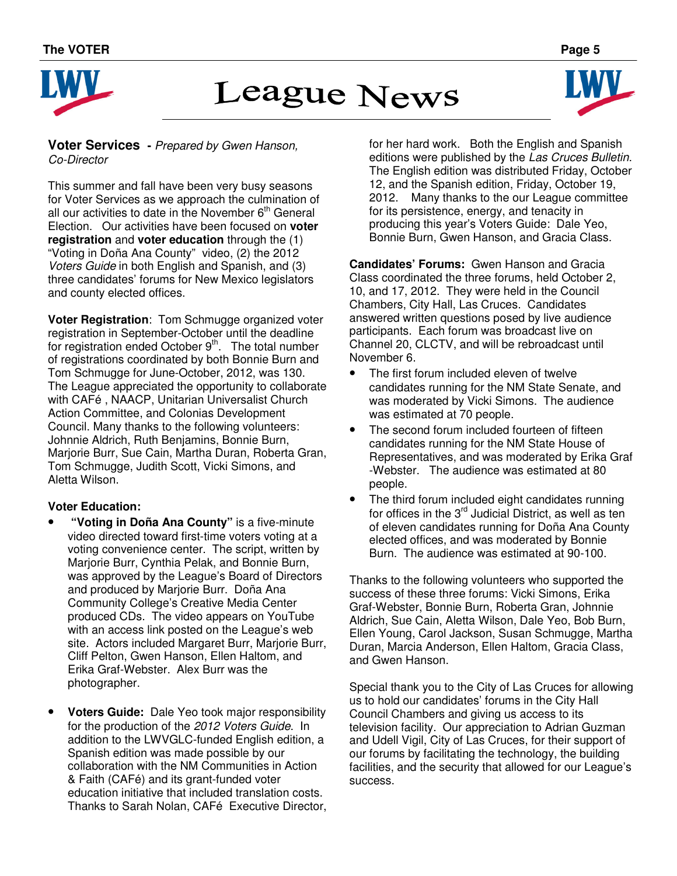

# **League News**



#### **Voter Services -** Prepared by Gwen Hanson, Co-Director

This summer and fall have been very busy seasons for Voter Services as we approach the culmination of all our activities to date in the November  $6<sup>th</sup>$  General Election. Our activities have been focused on **voter registration** and **voter education** through the (1) "Voting in Doña Ana County" video, (2) the 2012 Voters Guide in both English and Spanish, and (3) three candidates' forums for New Mexico legislators and county elected offices.

**Voter Registration**: Tom Schmugge organized voter registration in September-October until the deadline for registration ended October  $9<sup>th</sup>$ . The total number of registrations coordinated by both Bonnie Burn and Tom Schmugge for June-October, 2012, was 130. The League appreciated the opportunity to collaborate with CAFé , NAACP, Unitarian Universalist Church Action Committee, and Colonias Development Council. Many thanks to the following volunteers: Johnnie Aldrich, Ruth Benjamins, Bonnie Burn, Marjorie Burr, Sue Cain, Martha Duran, Roberta Gran, Tom Schmugge, Judith Scott, Vicki Simons, and Aletta Wilson.

#### **Voter Education:**

- **"Voting in Doña Ana County"** is a five-minute video directed toward first-time voters voting at a voting convenience center. The script, written by Marjorie Burr, Cynthia Pelak, and Bonnie Burn, was approved by the League's Board of Directors and produced by Marjorie Burr. Doña Ana Community College's Creative Media Center produced CDs. The video appears on YouTube with an access link posted on the League's web site. Actors included Margaret Burr, Marjorie Burr, Cliff Pelton, Gwen Hanson, Ellen Haltom, and Erika Graf-Webster. Alex Burr was the photographer.
- **Voters Guide:** Dale Yeo took major responsibility for the production of the 2012 Voters Guide. In addition to the LWVGLC-funded English edition, a Spanish edition was made possible by our collaboration with the NM Communities in Action & Faith (CAFé) and its grant-funded voter education initiative that included translation costs. Thanks to Sarah Nolan, CAFé Executive Director,

for her hard work. Both the English and Spanish editions were published by the Las Cruces Bulletin. The English edition was distributed Friday, October 12, and the Spanish edition, Friday, October 19, 2012. Many thanks to the our League committee for its persistence, energy, and tenacity in producing this year's Voters Guide: Dale Yeo, Bonnie Burn, Gwen Hanson, and Gracia Class.

**Candidates' Forums:** Gwen Hanson and Gracia Class coordinated the three forums, held October 2, 10, and 17, 2012. They were held in the Council Chambers, City Hall, Las Cruces. Candidates answered written questions posed by live audience participants. Each forum was broadcast live on Channel 20, CLCTV, and will be rebroadcast until November 6.

- The first forum included eleven of twelve candidates running for the NM State Senate, and was moderated by Vicki Simons. The audience was estimated at 70 people.
- The second forum included fourteen of fifteen candidates running for the NM State House of Representatives, and was moderated by Erika Graf -Webster. The audience was estimated at 80 people.
- The third forum included eight candidates running for offices in the  $3<sup>rd</sup>$  Judicial District, as well as ten of eleven candidates running for Doña Ana County elected offices, and was moderated by Bonnie Burn. The audience was estimated at 90-100.

Thanks to the following volunteers who supported the success of these three forums: Vicki Simons, Erika Graf-Webster, Bonnie Burn, Roberta Gran, Johnnie Aldrich, Sue Cain, Aletta Wilson, Dale Yeo, Bob Burn, Ellen Young, Carol Jackson, Susan Schmugge, Martha Duran, Marcia Anderson, Ellen Haltom, Gracia Class, and Gwen Hanson.

Special thank you to the City of Las Cruces for allowing us to hold our candidates' forums in the City Hall Council Chambers and giving us access to its television facility. Our appreciation to Adrian Guzman and Udell Vigil, City of Las Cruces, for their support of our forums by facilitating the technology, the building facilities, and the security that allowed for our League's success.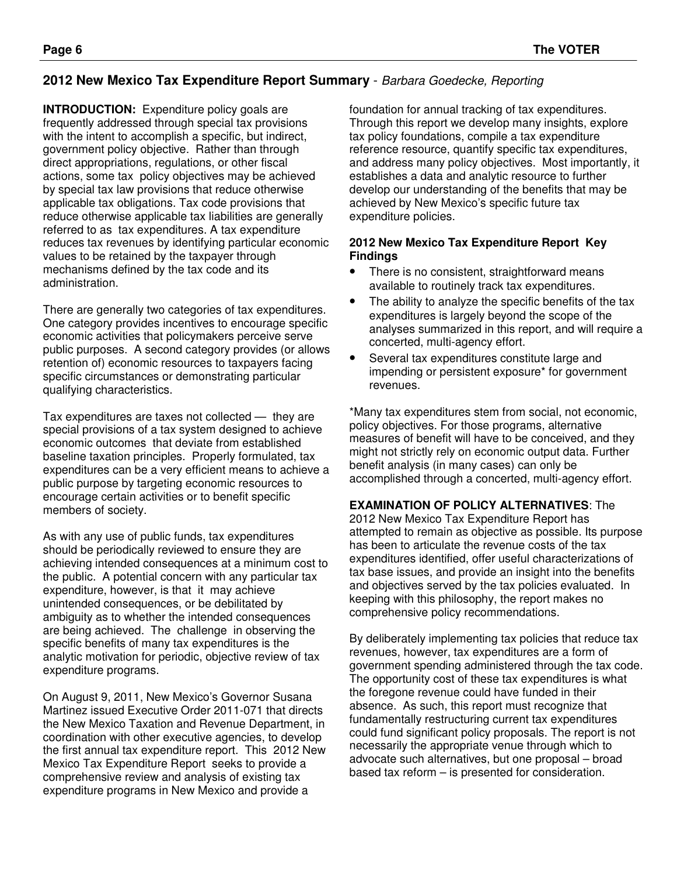#### **2012 New Mexico Tax Expenditure Report Summary** - Barbara Goedecke, Reporting

**INTRODUCTION:** Expenditure policy goals are frequently addressed through special tax provisions with the intent to accomplish a specific, but indirect, government policy objective. Rather than through direct appropriations, regulations, or other fiscal actions, some tax policy objectives may be achieved by special tax law provisions that reduce otherwise applicable tax obligations. Tax code provisions that reduce otherwise applicable tax liabilities are generally referred to as tax expenditures. A tax expenditure reduces tax revenues by identifying particular economic values to be retained by the taxpayer through mechanisms defined by the tax code and its administration.

There are generally two categories of tax expenditures. One category provides incentives to encourage specific economic activities that policymakers perceive serve public purposes. A second category provides (or allows retention of) economic resources to taxpayers facing specific circumstances or demonstrating particular qualifying characteristics.

Tax expenditures are taxes not collected — they are special provisions of a tax system designed to achieve economic outcomes that deviate from established baseline taxation principles. Properly formulated, tax expenditures can be a very efficient means to achieve a public purpose by targeting economic resources to encourage certain activities or to benefit specific members of society.

As with any use of public funds, tax expenditures should be periodically reviewed to ensure they are achieving intended consequences at a minimum cost to the public. A potential concern with any particular tax expenditure, however, is that it may achieve unintended consequences, or be debilitated by ambiguity as to whether the intended consequences are being achieved. The challenge in observing the specific benefits of many tax expenditures is the analytic motivation for periodic, objective review of tax expenditure programs.

On August 9, 2011, New Mexico's Governor Susana Martinez issued Executive Order 2011-071 that directs the New Mexico Taxation and Revenue Department, in coordination with other executive agencies, to develop the first annual tax expenditure report. This 2012 New Mexico Tax Expenditure Report seeks to provide a comprehensive review and analysis of existing tax expenditure programs in New Mexico and provide a

foundation for annual tracking of tax expenditures. Through this report we develop many insights, explore tax policy foundations, compile a tax expenditure reference resource, quantify specific tax expenditures, and address many policy objectives. Most importantly, it establishes a data and analytic resource to further develop our understanding of the benefits that may be achieved by New Mexico's specific future tax expenditure policies.

#### **2012 New Mexico Tax Expenditure Report Key Findings**

- There is no consistent, straightforward means available to routinely track tax expenditures.
- The ability to analyze the specific benefits of the tax expenditures is largely beyond the scope of the analyses summarized in this report, and will require a concerted, multi-agency effort.
- Several tax expenditures constitute large and impending or persistent exposure\* for government revenues.

\*Many tax expenditures stem from social, not economic, policy objectives. For those programs, alternative measures of benefit will have to be conceived, and they might not strictly rely on economic output data. Further benefit analysis (in many cases) can only be accomplished through a concerted, multi-agency effort.

**EXAMINATION OF POLICY ALTERNATIVES**: The

2012 New Mexico Tax Expenditure Report has attempted to remain as objective as possible. Its purpose has been to articulate the revenue costs of the tax expenditures identified, offer useful characterizations of tax base issues, and provide an insight into the benefits and objectives served by the tax policies evaluated. In keeping with this philosophy, the report makes no comprehensive policy recommendations.

By deliberately implementing tax policies that reduce tax revenues, however, tax expenditures are a form of government spending administered through the tax code. The opportunity cost of these tax expenditures is what the foregone revenue could have funded in their absence. As such, this report must recognize that fundamentally restructuring current tax expenditures could fund significant policy proposals. The report is not necessarily the appropriate venue through which to advocate such alternatives, but one proposal – broad based tax reform – is presented for consideration.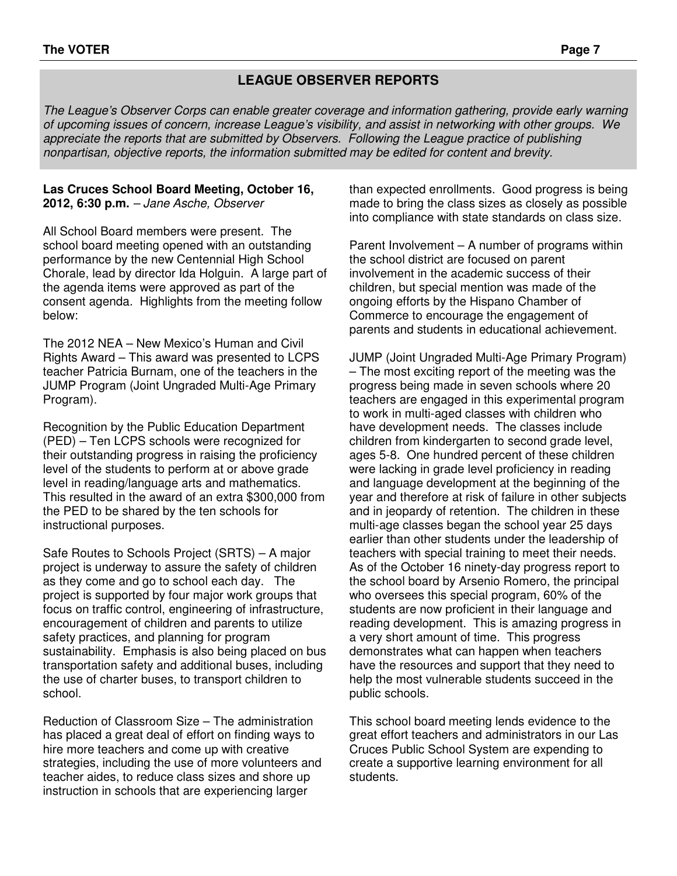#### **LEAGUE OBSERVER REPORTS**

The League's Observer Corps can enable greater coverage and information gathering, provide early warning of upcoming issues of concern, increase League's visibility, and assist in networking with other groups. We appreciate the reports that are submitted by Observers. Following the League practice of publishing nonpartisan, objective reports, the information submitted may be edited for content and brevity.

#### **Las Cruces School Board Meeting, October 16, 2012, 6:30 p.m.** – Jane Asche, Observer

All School Board members were present. The school board meeting opened with an outstanding performance by the new Centennial High School Chorale, lead by director Ida Holguin. A large part of the agenda items were approved as part of the consent agenda. Highlights from the meeting follow below:

The 2012 NEA – New Mexico's Human and Civil Rights Award – This award was presented to LCPS teacher Patricia Burnam, one of the teachers in the JUMP Program (Joint Ungraded Multi-Age Primary Program).

Recognition by the Public Education Department (PED) – Ten LCPS schools were recognized for their outstanding progress in raising the proficiency level of the students to perform at or above grade level in reading/language arts and mathematics. This resulted in the award of an extra \$300,000 from the PED to be shared by the ten schools for instructional purposes.

Safe Routes to Schools Project (SRTS) – A major project is underway to assure the safety of children as they come and go to school each day. The project is supported by four major work groups that focus on traffic control, engineering of infrastructure, encouragement of children and parents to utilize safety practices, and planning for program sustainability. Emphasis is also being placed on bus transportation safety and additional buses, including the use of charter buses, to transport children to school.

Reduction of Classroom Size – The administration has placed a great deal of effort on finding ways to hire more teachers and come up with creative strategies, including the use of more volunteers and teacher aides, to reduce class sizes and shore up instruction in schools that are experiencing larger

than expected enrollments. Good progress is being made to bring the class sizes as closely as possible into compliance with state standards on class size.

Parent Involvement – A number of programs within the school district are focused on parent involvement in the academic success of their children, but special mention was made of the ongoing efforts by the Hispano Chamber of Commerce to encourage the engagement of parents and students in educational achievement.

JUMP (Joint Ungraded Multi-Age Primary Program) – The most exciting report of the meeting was the progress being made in seven schools where 20 teachers are engaged in this experimental program to work in multi-aged classes with children who have development needs. The classes include children from kindergarten to second grade level, ages 5-8. One hundred percent of these children were lacking in grade level proficiency in reading and language development at the beginning of the year and therefore at risk of failure in other subjects and in jeopardy of retention. The children in these multi-age classes began the school year 25 days earlier than other students under the leadership of teachers with special training to meet their needs. As of the October 16 ninety-day progress report to the school board by Arsenio Romero, the principal who oversees this special program, 60% of the students are now proficient in their language and reading development. This is amazing progress in a very short amount of time. This progress demonstrates what can happen when teachers have the resources and support that they need to help the most vulnerable students succeed in the public schools.

This school board meeting lends evidence to the great effort teachers and administrators in our Las Cruces Public School System are expending to create a supportive learning environment for all students.